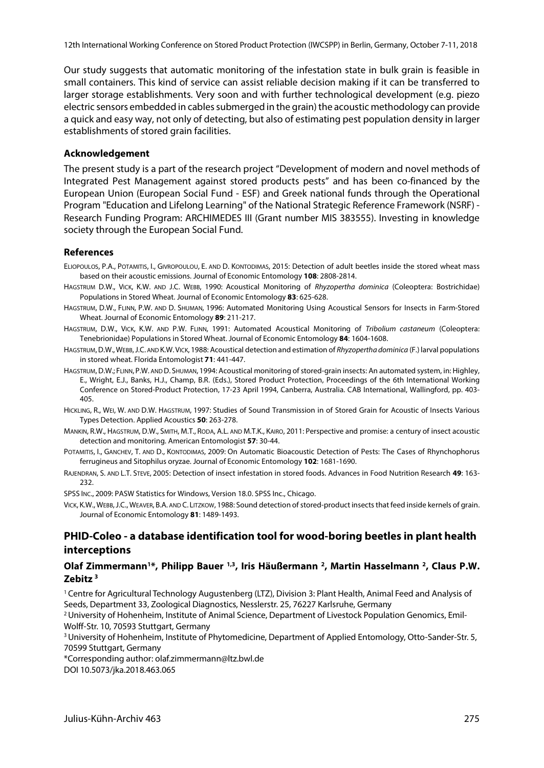Our study suggests that automatic monitoring of the infestation state in bulk grain is feasible in small containers. This kind of service can assist reliable decision making if it can be transferred to larger storage establishments. Very soon and with further technological development (e.g. piezo electric sensors embedded in cables submerged in the grain) the acoustic methodology can provide a quick and easy way, not only of detecting, but also of estimating pest population density in larger establishments of stored grain facilities.

#### **Acknowledgement**

The present study is a part of the research project "Development of modern and novel methods of Integrated Pest Management against stored products pests" and has been co-financed by the European Union (European Social Fund - ESF) and Greek national funds through the Operational Program "Education and Lifelong Learning" of the National Strategic Reference Framework (NSRF) - Research Funding Program: ARCHIMEDES III (Grant number MIS 383555). Investing in knowledge society through the European Social Fund.

#### **References**

- ELIOPOULOS, P.A., POTAMITIS, I., GIVROPOULOU, E. AND D. KONTODIMAS, 2015: Detection of adult beetles inside the stored wheat mass based on their acoustic emissions. Journal of Economic Entomology **108**: 2808-2814.
- HAGSTRUM D.W., VICK, K.W. AND J.C. WEBB, 1990: Acoustical Monitoring of *Rhyzopertha dominica* (Coleoptera: Bostrichidae) Populations in Stored Wheat. Journal of Economic Entomology **83**: 625-628.
- HAGSTRUM, D.W., FLINN, P.W. AND D. SHUMAN, 1996: Automated Monitoring Using Acoustical Sensors for Insects in Farm-Stored Wheat. Journal of Economic Entomology **89**: 211-217.
- HAGSTRUM, D.W., VICK, K.W. AND P.W. FLINN, 1991: Automated Acoustical Monitoring of *Tribolium castaneum* (Coleoptera: Tenebrionidae) Populations in Stored Wheat. Journal of Economic Entomology **84**: 1604-1608.
- HAGSTRUM,D.W.,WEBB,J.C. AND K.W.VICK, 1988: Acoustical detection and estimation of *Rhyzopertha dominica* (F.) larval populations in stored wheat. Florida Entomologist **71**: 441-447.
- HAGSTRUM,D.W.; FLINN, P.W. AND D. SHUMAN, 1994: Acoustical monitoring of stored-grain insects: An automated system, in: Highley, E., Wright, E.J., Banks, H.J., Champ, B.R. (Eds.), Stored Product Protection, Proceedings of the 6th International Working Conference on Stored-Product Protection, 17-23 April 1994, Canberra, Australia. CAB International, Wallingford, pp. 403- 405.
- HICKLING, R., WEI, W. AND D.W. HAGSTRUM, 1997: Studies of Sound Transmission in of Stored Grain for Acoustic of Insects Various Types Detection. Applied Acoustics **50**: 263-278.
- MANKIN, R.W., HAGSTRUM, D.W., SMITH, M.T., RODA, A.L. AND M.T.K., KAIRO, 2011: Perspective and promise: a century of insect acoustic detection and monitoring. American Entomologist **57**: 30-44.
- POTAMITIS, I., GANCHEV, T. AND D., KONTODIMAS, 2009: On Automatic Bioacoustic Detection of Pests: The Cases of Rhynchophorus ferrugineus and Sitophilus oryzae. Journal of Economic Entomology **102**: 1681-1690.
- RAJENDRAN, S. AND L.T. STEVE, 2005: Detection of insect infestation in stored foods. Advances in Food Nutrition Research **49**: 163- 232.
- SPSS INC., 2009: PASW Statistics for Windows, Version 18.0. SPSS Inc., Chicago.
- VICK, K.W., WEBB,J.C., WEAVER, B.A. AND C. LITZKOW, 1988: Sound detection of stored-product insects that feed inside kernels of grain. Journal of Economic Entomology **81**: 1489-1493.

# **PHID-Coleo - a database identification tool for wood-boring beetles in plant health interceptions**

#### **Olaf Zimmermann1\*, Philipp Bauer 1,3, Iris Häußermann 2, Martin Hasselmann 2, Claus P.W. Zebitz <sup>3</sup>**

1 Centre for Agricultural Technology Augustenberg (LTZ), Division 3: Plant Health, Animal Feed and Analysis of Seeds, Department 33, Zoological Diagnostics, Nesslerstr. 25, 76227 Karlsruhe, Germany

<sup>2</sup> University of Hohenheim, Institute of Animal Science, Department of Livestock Population Genomics, Emil-Wolff-Str. 10, 70593 Stuttgart, Germany

<sup>3</sup> University of Hohenheim, Institute of Phytomedicine, Department of Applied Entomology, Otto-Sander-Str. 5, 70599 Stuttgart, Germany

\*Corresponding author: olaf.zimmermann@ltz.bwl.de

DOI 10.5073/jka.2018.463.065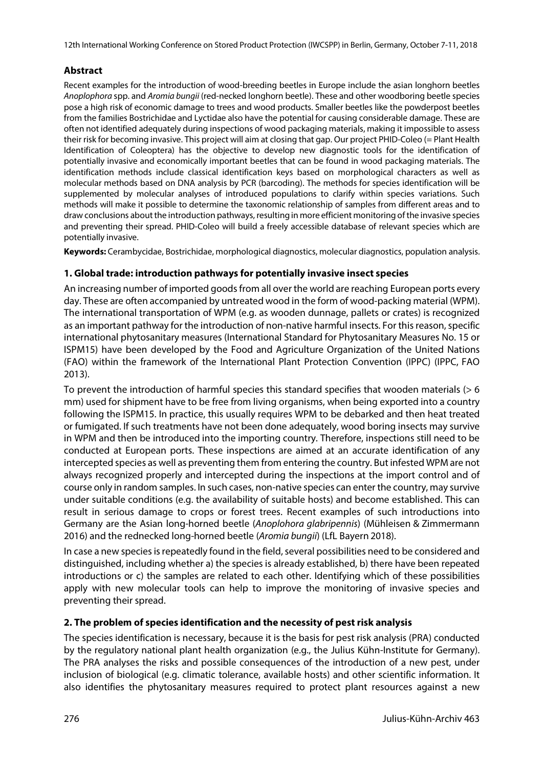12th International Working Conference on Stored Product Protection (IWCSPP) in Berlin, Germany, October 7-11, 2018

# **Abstract**

Recent examples for the introduction of wood-breeding beetles in Europe include the asian longhorn beetles *Anoplophora* spp. and *Aromia bungii* (red-necked longhorn beetle). These and other woodboring beetle species pose a high risk of economic damage to trees and wood products. Smaller beetles like the powderpost beetles from the families Bostrichidae and Lyctidae also have the potential for causing considerable damage. These are often not identified adequately during inspections of wood packaging materials, making it impossible to assess their risk for becoming invasive. This project will aim at closing that gap. Our project PHID-Coleo (= Plant Health Identification of Coleoptera) has the objective to develop new diagnostic tools for the identification of potentially invasive and economically important beetles that can be found in wood packaging materials. The identification methods include classical identification keys based on morphological characters as well as molecular methods based on DNA analysis by PCR (barcoding). The methods for species identification will be supplemented by molecular analyses of introduced populations to clarify within species variations. Such methods will make it possible to determine the taxonomic relationship of samples from different areas and to draw conclusions about the introduction pathways, resulting in more efficient monitoring of the invasive species and preventing their spread. PHID-Coleo will build a freely accessible database of relevant species which are potentially invasive.

**Keywords:** Cerambycidae, Bostrichidae, morphological diagnostics, molecular diagnostics, population analysis.

#### **1. Global trade: introduction pathways for potentially invasive insect species**

An increasing number of imported goods from all over the world are reaching European ports every day. These are often accompanied by untreated wood in the form of wood-packing material (WPM). The international transportation of WPM (e.g. as wooden dunnage, pallets or crates) is recognized as an important pathway for the introduction of non-native harmful insects. For this reason, specific international phytosanitary measures (International Standard for Phytosanitary Measures No. 15 or ISPM15) have been developed by the Food and Agriculture Organization of the United Nations (FAO) within the framework of the International Plant Protection Convention (IPPC) (IPPC, FAO 2013).

To prevent the introduction of harmful species this standard specifies that wooden materials (> 6 mm) used for shipment have to be free from living organisms, when being exported into a country following the ISPM15. In practice, this usually requires WPM to be debarked and then heat treated or fumigated. If such treatments have not been done adequately, wood boring insects may survive in WPM and then be introduced into the importing country. Therefore, inspections still need to be conducted at European ports. These inspections are aimed at an accurate identification of any intercepted species as well as preventing them from entering the country. But infested WPM are not always recognized properly and intercepted during the inspections at the import control and of course only in random samples. In such cases, non-native species can enter the country, may survive under suitable conditions (e.g. the availability of suitable hosts) and become established. This can result in serious damage to crops or forest trees. Recent examples of such introductions into Germany are the Asian long-horned beetle (*Anoplohora glabripennis*) (Mühleisen & Zimmermann 2016) and the rednecked long-horned beetle (*Aromia bungii*) (LfL Bayern 2018).

In case a new species is repeatedly found in the field, several possibilities need to be considered and distinguished, including whether a) the species is already established, b) there have been repeated introductions or c) the samples are related to each other. Identifying which of these possibilities apply with new molecular tools can help to improve the monitoring of invasive species and preventing their spread.

# **2. The problem of species identification and the necessity of pest risk analysis**

The species identification is necessary, because it is the basis for pest risk analysis (PRA) conducted by the regulatory national plant health organization (e.g., the Julius Kühn-Institute for Germany). The PRA analyses the risks and possible consequences of the introduction of a new pest, under inclusion of biological (e.g. climatic tolerance, available hosts) and other scientific information. It also identifies the phytosanitary measures required to protect plant resources against a new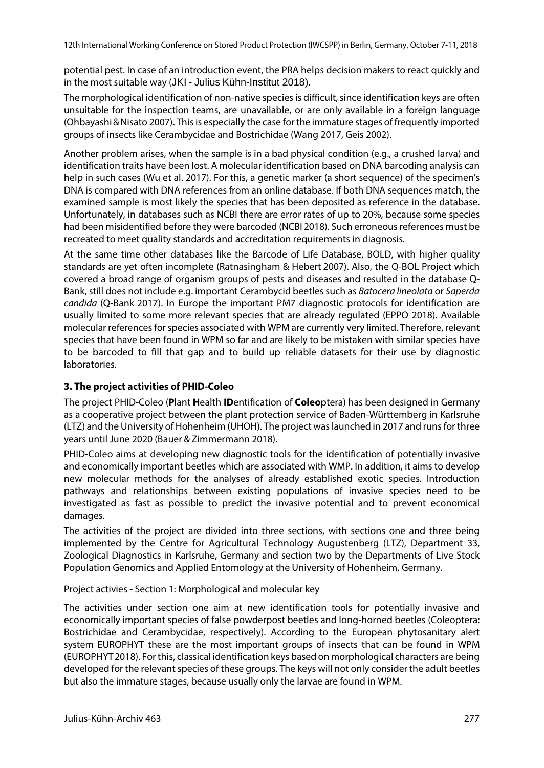potential pest. In case of an introduction event, the PRA helps decision makers to react quickly and in the most suitable way (JKI - Julius Kühn-Institut 2018).

The morphological identification of non-native species is difficult, since identification keys are often unsuitable for the inspection teams, are unavailable, or are only available in a foreign language (Ohbayashi&Nisato 2007). This is especially the case for the immature stages of frequently imported groups of insects like Cerambycidae and Bostrichidae (Wang 2017, Geis 2002).

Another problem arises, when the sample is in a bad physical condition (e.g., a crushed larva) and identification traits have been lost. A molecular identification based on DNA barcoding analysis can help in such cases (Wu et al. 2017). For this, a genetic marker (a short sequence) of the specimen's DNA is compared with DNA references from an online database. If both DNA sequences match, the examined sample is most likely the species that has been deposited as reference in the database. Unfortunately, in databases such as NCBI there are error rates of up to 20%, because some species had been misidentified before they were barcoded (NCBI 2018). Such erroneous references must be recreated to meet quality standards and accreditation requirements in diagnosis.

At the same time other databases like the Barcode of Life Database, BOLD, with higher quality standards are yet often incomplete (Ratnasingham & Hebert 2007). Also, the Q-BOL Project which covered a broad range of organism groups of pests and diseases and resulted in the database Q-Bank, still does not include e.g. important Cerambycid beetles such as *Batocera lineolata* or *Saperda candida* (Q-Bank 2017). In Europe the important PM7 diagnostic protocols for identification are usually limited to some more relevant species that are already regulated (EPPO 2018). Available molecular references for species associated with WPM are currently very limited. Therefore, relevant species that have been found in WPM so far and are likely to be mistaken with similar species have to be barcoded to fill that gap and to build up reliable datasets for their use by diagnostic laboratories.

# **3. The project activities of PHID-Coleo**

The project PHID-Coleo (**P**lant **H**ealth **ID**entification of **Coleo**ptera) has been designed in Germany as a cooperative project between the plant protection service of Baden-Württemberg in Karlsruhe (LTZ) and the University of Hohenheim (UHOH). The project was launched in 2017 and runs for three years until June 2020 (Bauer & Zimmermann 2018).

PHID-Coleo aims at developing new diagnostic tools for the identification of potentially invasive and economically important beetles which are associated with WMP. In addition, it aims to develop new molecular methods for the analyses of already established exotic species. Introduction pathways and relationships between existing populations of invasive species need to be investigated as fast as possible to predict the invasive potential and to prevent economical damages.

The activities of the project are divided into three sections, with sections one and three being implemented by the Centre for Agricultural Technology Augustenberg (LTZ), Department 33, Zoological Diagnostics in Karlsruhe, Germany and section two by the Departments of Live Stock Population Genomics and Applied Entomology at the University of Hohenheim, Germany.

Project activies - Section 1: Morphological and molecular key

The activities under section one aim at new identification tools for potentially invasive and economically important species of false powderpost beetles and long-horned beetles (Coleoptera: Bostrichidae and Cerambycidae, respectively). According to the European phytosanitary alert system EUROPHYT these are the most important groups of insects that can be found in WPM (EUROPHYT2018). For this, classical identification keys based on morphological characters are being developed for the relevant species of these groups. The keys will not only consider the adult beetles but also the immature stages, because usually only the larvae are found in WPM.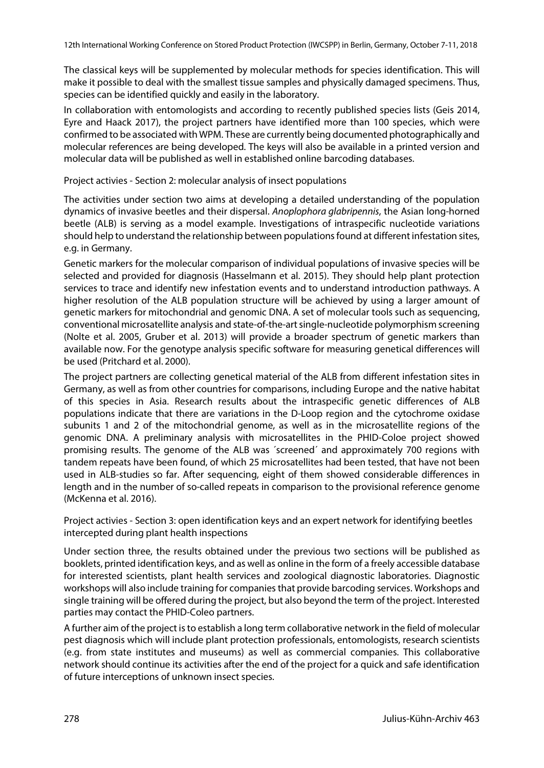The classical keys will be supplemented by molecular methods for species identification. This will make it possible to deal with the smallest tissue samples and physically damaged specimens. Thus, species can be identified quickly and easily in the laboratory.

In collaboration with entomologists and according to recently published species lists (Geis 2014, Eyre and Haack 2017), the project partners have identified more than 100 species, which were confirmed to be associated with WPM. These are currently being documented photographically and molecular references are being developed. The keys will also be available in a printed version and molecular data will be published as well in established online barcoding databases.

Project activies - Section 2: molecular analysis of insect populations

The activities under section two aims at developing a detailed understanding of the population dynamics of invasive beetles and their dispersal. *Anoplophora glabripennis*, the Asian long-horned beetle (ALB) is serving as a model example. Investigations of intraspecific nucleotide variations should help to understand the relationship between populations found at different infestation sites, e.g. in Germany.

Genetic markers for the molecular comparison of individual populations of invasive species will be selected and provided for diagnosis (Hasselmann et al. 2015). They should help plant protection services to trace and identify new infestation events and to understand introduction pathways. A higher resolution of the ALB population structure will be achieved by using a larger amount of genetic markers for mitochondrial and genomic DNA. A set of molecular tools such as sequencing, conventional microsatellite analysis and state-of-the-art single-nucleotide polymorphism screening (Nolte et al. 2005, Gruber et al. 2013) will provide a broader spectrum of genetic markers than available now. For the genotype analysis specific software for measuring genetical differences will be used (Pritchard et al. 2000).

The project partners are collecting genetical material of the ALB from different infestation sites in Germany, as well as from other countries for comparisons, including Europe and the native habitat of this species in Asia. Research results about the intraspecific genetic differences of ALB populations indicate that there are variations in the D-Loop region and the cytochrome oxidase subunits 1 and 2 of the mitochondrial genome, as well as in the microsatellite regions of the genomic DNA. A preliminary analysis with microsatellites in the PHID-Coloe project showed promising results. The genome of the ALB was ´screened´ and approximately 700 regions with tandem repeats have been found, of which 25 microsatellites had been tested, that have not been used in ALB-studies so far. After sequencing, eight of them showed considerable differences in length and in the number of so-called repeats in comparison to the provisional reference genome (McKenna et al. 2016).

Project activies - Section 3: open identification keys and an expert network for identifying beetles intercepted during plant health inspections

Under section three, the results obtained under the previous two sections will be published as booklets, printed identification keys, and as well as online in the form of a freely accessible database for interested scientists, plant health services and zoological diagnostic laboratories. Diagnostic workshops will also include training for companies that provide barcoding services. Workshops and single training will be offered during the project, but also beyond the term of the project. Interested parties may contact the PHID-Coleo partners.

A further aim of the project is to establish a long term collaborative network in the field of molecular pest diagnosis which will include plant protection professionals, entomologists, research scientists (e.g. from state institutes and museums) as well as commercial companies. This collaborative network should continue its activities after the end of the project for a quick and safe identification of future interceptions of unknown insect species.